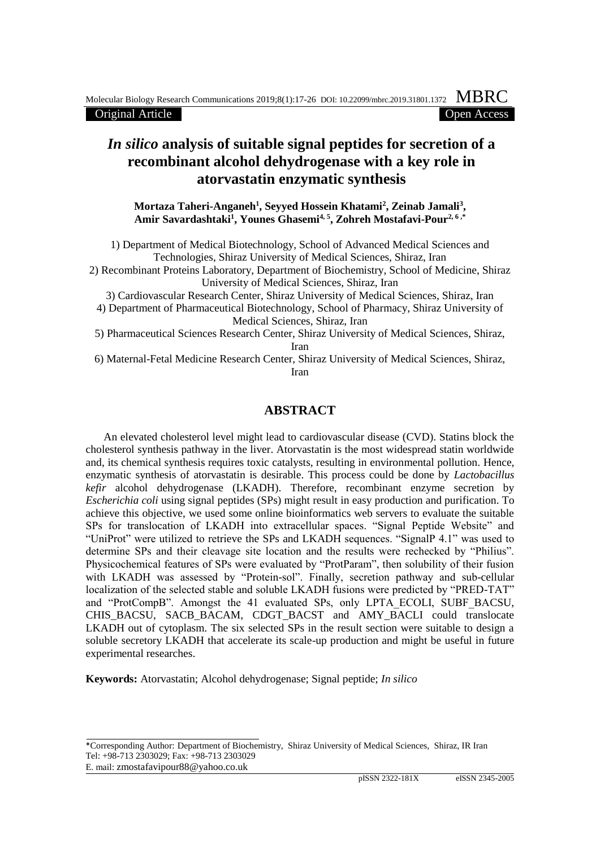Original Article

## *In silico* **analysis of suitable signal peptides for secretion of a recombinant alcohol dehydrogenase with a key role in atorvastatin enzymatic synthesis**

**Mortaza Taheri-Anganeh<sup>1</sup> , Seyyed Hossein Khatami<sup>2</sup> , Zeinab Jamali<sup>3</sup> , Amir Savardashtaki<sup>1</sup> , Younes Ghasemi4, 5, Zohreh Mostafavi-Pour2, 6 ,\***

1) Department of Medical Biotechnology, School of Advanced Medical Sciences and Technologies, Shiraz University of Medical Sciences, Shiraz, Iran

2) Recombinant Proteins Laboratory, Department of Biochemistry, School of Medicine, Shiraz University of Medical Sciences, Shiraz, Iran

3) Cardiovascular Research Center, Shiraz University of Medical Sciences, Shiraz, Iran

- 4) Department of Pharmaceutical Biotechnology, School of Pharmacy, Shiraz University of Medical Sciences, Shiraz, Iran
- 5) Pharmaceutical Sciences Research Center, Shiraz University of Medical Sciences, Shiraz, Iran

6) Maternal-Fetal Medicine Research Center, Shiraz University of Medical Sciences, Shiraz, Iran

## **ABSTRACT**

An elevated cholesterol level might lead to cardiovascular disease (CVD). Statins block the cholesterol synthesis pathway in the liver. Atorvastatin is the most widespread statin worldwide and, its chemical synthesis requires toxic catalysts, resulting in environmental pollution. Hence, enzymatic synthesis of atorvastatin is desirable. This process could be done by *Lactobacillus kefir* alcohol dehydrogenase (LKADH). Therefore, recombinant enzyme secretion by *Escherichia coli* using signal peptides (SPs) might result in easy production and purification. To achieve this objective, we used some online bioinformatics web servers to evaluate the suitable SPs for translocation of LKADH into extracellular spaces. "Signal Peptide Website" and "UniProt" were utilized to retrieve the SPs and LKADH sequences. "SignalP 4.1" was used to determine SPs and their cleavage site location and the results were rechecked by "Philius". Physicochemical features of SPs were evaluated by "ProtParam", then solubility of their fusion with LKADH was assessed by "Protein-sol". Finally, secretion pathway and sub-cellular localization of the selected stable and soluble LKADH fusions were predicted by "PRED-TAT" and "ProtCompB". Amongst the 41 evaluated SPs, only LPTA\_ECOLI, SUBF\_BACSU, CHIS\_BACSU, SACB\_BACAM, CDGT\_BACST\_and AMY\_BACLI could translocate LKADH out of cytoplasm. The six selected SPs in the result section were suitable to design a soluble secretory LKADH that accelerate its scale-up production and might be useful in future experimental researches.

**Keywords:** Atorvastatin; Alcohol dehydrogenase; Signal peptide; *In silico*

E. mail: zmostafavipour88@yahoo.co.uk

<sup>\*</sup>Corresponding Author: Department of Biochemistry, Shiraz University of Medical Sciences, Shiraz, IR Iran Tel: +98-713 2303029; Fax: +98-713 2303029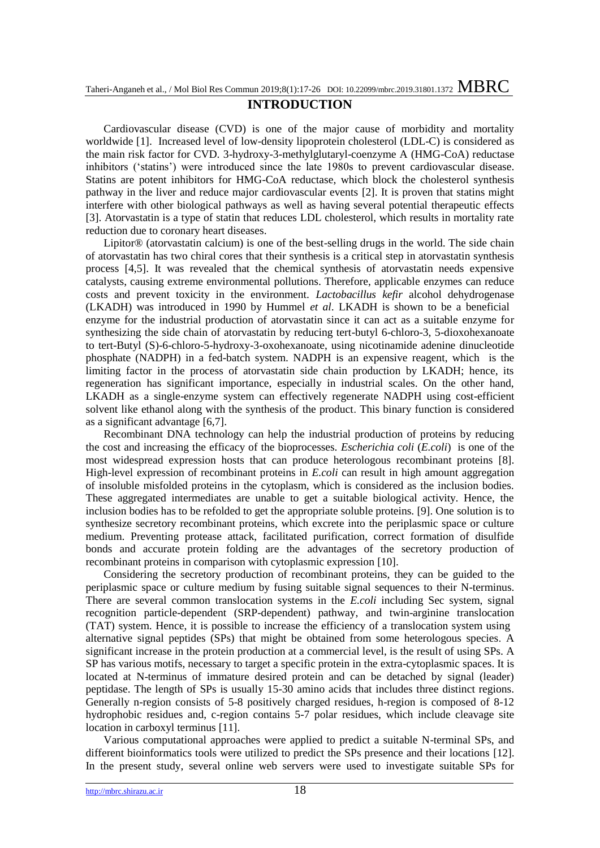## **INTRODUCTION**

Cardiovascular disease (CVD) is one of the major cause of morbidity and mortality worldwide [1]. Increased level of low-density lipoprotein cholesterol (LDL-C) is considered as the main risk factor for CVD. 3-hydroxy-3-methylglutaryl-coenzyme A (HMG-CoA) reductase inhibitors ('statins') were introduced since the late 1980s to prevent cardiovascular disease. Statins are potent inhibitors for HMG-CoA reductase, which block the cholesterol synthesis pathway in the liver and reduce major cardiovascular events [2]. It is proven that statins might interfere with other biological pathways as well as having several potential therapeutic effects [3]. Atorvastatin is a type of statin that reduces LDL cholesterol, which results in mortality rate reduction due to coronary heart diseases.

Lipitor® (atorvastatin calcium) is one of the best-selling drugs in the world. The side chain of atorvastatin has two chiral cores that their synthesis is a critical step in atorvastatin synthesis process [4,5]. It was revealed that the chemical synthesis of atorvastatin needs expensive catalysts, causing extreme environmental pollutions. Therefore, applicable enzymes can reduce costs and prevent toxicity in the environment. *Lactobacillus kefir* alcohol dehydrogenase (LKADH) was introduced in 1990 by Hummel *et al*. LKADH is shown to be a beneficial enzyme for the industrial production of atorvastatin since it can act as a suitable enzyme for synthesizing the side chain of atorvastatin by reducing tert-butyl 6-chloro-3, 5-dioxohexanoate to tert-Butyl (S)-6-chloro-5-hydroxy-3-oxohexanoate, using nicotinamide adenine dinucleotide phosphate (NADPH) in a fed-batch system. NADPH is an expensive reagent, which is the limiting factor in the process of atorvastatin side chain production by LKADH; hence, its regeneration has significant importance, especially in industrial scales. On the other hand, LKADH as a single-enzyme system can effectively regenerate NADPH using cost-efficient solvent like ethanol along with the synthesis of the product. This binary function is considered as a significant advantage [6,7].

Recombinant DNA technology can help the industrial production of proteins by reducing the cost and increasing the efficacy of the bioprocesses. *Escherichia coli* (*E.coli*) is one of the most widespread expression hosts that can produce heterologous recombinant proteins [8]. High-level expression of recombinant proteins in *E.coli* can result in high amount aggregation of insoluble misfolded proteins in the cytoplasm, which is considered as the inclusion bodies. These aggregated intermediates are unable to get a suitable biological activity. Hence, the inclusion bodies has to be refolded to get the appropriate soluble proteins. [9]. One solution is to synthesize secretory recombinant proteins, which excrete into the periplasmic space or culture medium. Preventing protease attack, facilitated purification, correct formation of disulfide bonds and accurate protein folding are the advantages of the secretory production of recombinant proteins in comparison with cytoplasmic expression [10].

Considering the secretory production of recombinant proteins, they can be guided to the periplasmic space or culture medium by fusing suitable signal sequences to their N-terminus. There are several common translocation systems in the *E.coli* including Sec system, signal recognition particle-dependent (SRP-dependent) pathway, and twin-arginine translocation (TAT) system. Hence, it is possible to increase the efficiency of a translocation system using alternative signal peptides (SPs) that might be obtained from some heterologous species. A significant increase in the protein production at a commercial level, is the result of using SPs. A SP has various motifs, necessary to target a specific protein in the extra-cytoplasmic spaces. It is located at N-terminus of immature desired protein and can be detached by signal (leader) peptidase. The length of SPs is usually 15-30 amino acids that includes three distinct regions. Generally n-region consists of 5-8 positively charged residues, h-region is composed of 8-12 hydrophobic residues and, c-region contains 5-7 polar residues, which include cleavage site location in carboxyl terminus [11].

Various computational approaches were applied to predict a suitable N-terminal SPs, and different bioinformatics tools were utilized to predict the SPs presence and their locations [12]. In the present study, several online web servers were used to investigate suitable SPs for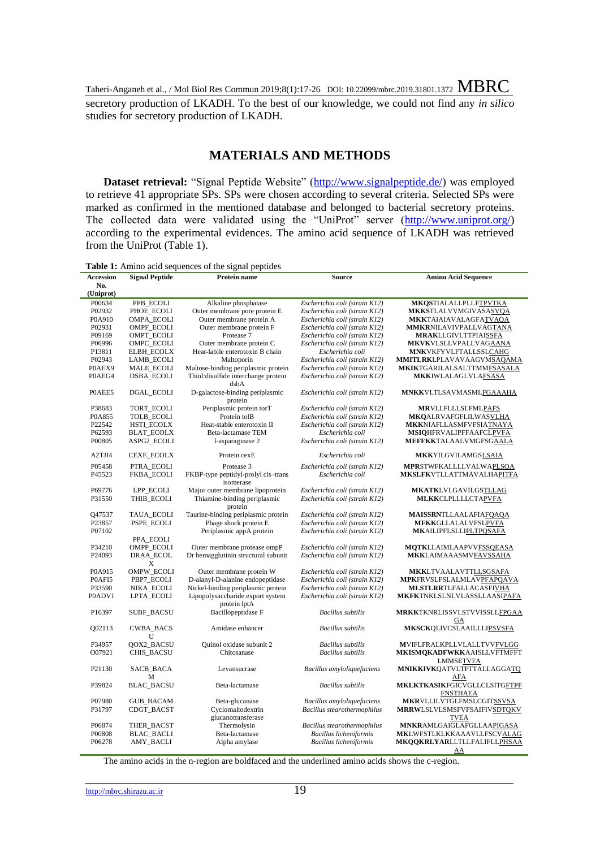secretory production of LKADH. To the best of our knowledge, we could not find any *in silico* studies for secretory production of LKADH.

## **MATERIALS AND METHODS**

**Dataset retrieval:** "Signal Peptide Website" [\(http://www.signalpeptide.de/\)](http://www.signalpeptide.de/) was employed to retrieve 41 appropriate SPs. SPs were chosen according to several criteria. Selected SPs were marked as confirmed in the mentioned database and belonged to bacterial secretory proteins. The collected data were validated using the "UniProt" server [\(http://www.uniprot.org/\)](http://www.uniprot.org/) according to the experimental evidences. The amino acid sequence of LKADH was retrieved from the UniProt (Table 1).

| Table 1: Amino acid sequences of the signal peptides |
|------------------------------------------------------|
|------------------------------------------------------|

| <b>Accession</b>   | <b>Signal Peptide</b> | Protein name                                     | Source                        | <b>Amino Acid Sequence</b>         |
|--------------------|-----------------------|--------------------------------------------------|-------------------------------|------------------------------------|
| No.                |                       |                                                  |                               |                                    |
| (Uniprot)          |                       |                                                  |                               |                                    |
| P00634             | PPB_ECOLI             | Alkaline phosphatase                             | Escherichia coli (strain K12) | <b>MKQSTIALALLPLLFTPVTKA</b>       |
| P02932             | PHOE_ECOLI            | Outer membrane pore protein E                    | Escherichia coli (strain K12) | <b>MKKSTLALVVMGIVASASVOA</b>       |
| P0A910             | <b>OMPA ECOLI</b>     | Outer membrane protein A                         | Escherichia coli (strain K12) | <b>MKKTAIAIAVALAGFATVAQA</b>       |
| P02931             | OMPF_ECOLI            | Outer membrane protein F                         | Escherichia coli (strain K12) | <b>MMKRNILAVIVPALLVAGTANA</b>      |
| P09169             | OMPT_ECOLI            | Protease 7                                       | Escherichia coli (strain K12) | <b>MRAKLLGIVLTTPIAISSFA</b>        |
| P06996             | OMPC_ECOLI            | Outer membrane protein C                         | Escherichia coli (strain K12) | <b>MKVKVLSLLVPALLVAGAANA</b>       |
| P13811             | <b>ELBH_ECOLX</b>     | Heat-labile enterotoxin B chain                  | Escherichia coli              | MNKVKFYVLFTALLSSLCAHG              |
| P02943             | LAMB_ECOLI            | Maltoporin                                       | Escherichia coli (strain K12) | <b>MMITLRKLPLAVAVAAGVMSAQAMA</b>   |
| P0AEX9             | MALE_ECOLI            | Maltose-binding periplasmic protein              | Escherichia coli (strain K12) | MKIKTGARILALSALTTMMFSASALA         |
| P0AEG4             | <b>DSBA_ECOLI</b>     | Thiol: disulfide interchange protein             | Escherichia coli (strain K12) | <b>MKKIWLALAGLVLAFSASA</b>         |
|                    |                       | dsbA                                             |                               |                                    |
| POAEE5             | DGAL_ECOLI            | D-galactose-binding periplasmic<br>protein       | Escherichia coli (strain K12) | <b>MNKKVLTLSAVMASMLFGAAAHA</b>     |
| P38683             | TORT_ECOLI            | Periplasmic protein torT                         | Escherichia coli (strain K12) | <b>MRVLLFLLLSLFMLPAFS</b>          |
| P0A855             | <b>TOLB ECOLI</b>     | Protein tolB                                     | Escherichia coli (strain K12) | <b>MKQALRVAFGFLILWASVLHA</b>       |
| P22542             | HSTI_ECOLX            | Heat-stable enterotoxin II                       | Escherichia coli (strain K12) | <b>MKKNIAFLLASMFVFSIATNAYA</b>     |
| P62593             | <b>BLAT ECOLX</b>     | Beta-lactamase TEM                               | Escherichia coli              | <b>MSIQHFRVALIPFFAAFCLPVFA</b>     |
| P00805             | ASPG2_ECOLI           | 1-asparaginase 2                                 | Escherichia coli (strain K12) | <b>MEFFKKTALAALVMGFSGAALA</b>      |
| A2TJI4             | CEXE_ECOLX            | Protein cexE                                     | Escherichia coli              | <b>MKKYILGVILAMGSLSAIA</b>         |
|                    |                       |                                                  |                               |                                    |
| P05458             | PTRA_ECOLI            | Protease 3                                       | Escherichia coli (strain K12) | MPRSTWFKALLLLVALWAPLSQA            |
| P45523             | <b>FKBA_ECOLI</b>     | FKBP-type peptidyl-prolyl cis-trans<br>isomerase | Escherichia coli              | <b>MKSLFKVTLLATTMAVALHAPITFA</b>   |
| P69776             | LPP ECOLI             | Major outer membrane lipoprotein                 | Escherichia coli (strain K12) | <b>MKATK</b> LVLGAVILGSTLLAG       |
| P31550             | THIB_ECOLI            | Thiamine-binding periplasmic                     | Escherichia coli (strain K12) | <b>MLKKCLPLLLLCTAPVFA</b>          |
|                    |                       | protein                                          |                               |                                    |
| Q47537             | TAUA_ECOLI            | Taurine-binding periplasmic protein              | Escherichia coli (strain K12) | <b>MAISSRNTLLAALAFIAFQAQA</b>      |
| P23857             | PSPE_ECOLI            | Phage shock protein E                            | Escherichia coli (strain K12) | <b>MFKKGLLALALVFSLPVFA</b>         |
| P07102             |                       | Periplasmic appA protein                         | Escherichia coli (strain K12) | <b>MKAILIPFLSLLIPLTPQSAFA</b>      |
|                    | PPA_ECOLI             |                                                  |                               |                                    |
| P34210             | OMPP_ECOLI            | Outer membrane protease ompP                     | Escherichia coli (strain K12) | <b>MQTKLLAIMLAAPVVFSSQEASA</b>     |
| P24093             | DRAA_ECOL             | Dr hemagglutinin structural subunit              | Escherichia coli (strain K12) | <b>MKKLAIMAAASMVFAVSSAHA</b>       |
|                    | X                     |                                                  |                               |                                    |
| P0A915             | <b>OMPW ECOLI</b>     | Outer membrane protein W                         | Escherichia coli (strain K12) | <b>MKKLTVAALAVTTLLSGSAFA</b>       |
| P0AFI5             | PBP7_ECOLI            | D-alanyl-D-alanine endopeptidase                 | Escherichia coli (strain K12) | MPKFRVSLFSLALMLAVPFAPQAVA          |
| P33590             | NIKA_ECOLI            | Nickel-binding periplasmic protein               | Escherichia coli (strain K12) | <b>MLSTLRRTLFALLACASFIVHA</b>      |
| P0ADV1             | LPTA_ECOLI            | Lipopolysaccharide export system                 | Escherichia coli (strain K12) | <b>MKFKTNKLSLNLVLASSLLAASIPAFA</b> |
|                    |                       | protein lptA                                     |                               |                                    |
| P16397             | <b>SUBF_BACSU</b>     | Bacillopeptidase F                               | <b>Bacillus</b> subtilis      | MRKKTKNRLISSVLSTVVISSLLFPGAA       |
|                    |                       |                                                  |                               | GA                                 |
| Q02113             | <b>CWBA_BACS</b>      | Amidase enhancer                                 | <b>Bacillus</b> subtilis      | <b>MKSCKQLIVCSLAAILLLIPSVSFA</b>   |
|                    | U                     |                                                  |                               |                                    |
| P34957             | QOX2_BACSU            | Quinol oxidase subunit 2                         | <b>Bacillus</b> subtilis      | MVIFLFRALKPLLVLALLTVVFVLGG         |
| O07921             | <b>CHIS_BACSU</b>     | Chitosanase                                      | <b>Bacillus</b> subtilis      | MKISMQKADFWKKAAISLLVFTMFFT         |
|                    |                       |                                                  |                               | LMMSETVFA                          |
| P <sub>21130</sub> | SACB_BACA             | Levansucrase                                     | Bacillus amyloliquefaciens    | MNIKKIVKQATVLTFTTALLAGGATQ         |
|                    | М                     |                                                  |                               | AFA                                |
| P39824             | <b>BLAC_BACSU</b>     | Beta-lactamase                                   | <b>Bacillus</b> subtilis      | MKLKTKASIKFGICVGLLCLSITGFTPF       |
|                    |                       |                                                  |                               | <b>FNSTHAEA</b>                    |
| P07980             | <b>GUB_BACAM</b>      | Beta-glucanase                                   | Bacillus amyloliquefaciens    | MKRVLLILVTGLFMSLCGITSSVSA          |
| P31797             | CDGT_BACST            | Cyclomaltodextrin                                | Bacillus stearothermophilus   | <b>MRRWLSLVLSMSFVFSAIFIVSDTQKV</b> |
|                    |                       | glucanotransferase                               |                               | <b>TVEA</b>                        |
| P06874             | THER_BACST            | Thermolysin                                      | Bacillus stearothermophilus   | MNKRAMLGAIGLAFGLLAAPIGASA          |
| P00808             | <b>BLAC_BACLI</b>     | Beta-lactamase                                   | Bacillus licheniformis        | MKLWFSTLKLKKAAAVLLFSCVALAG         |
| P06278             | <b>AMY_BACLI</b>      | Alpha amylase                                    | Bacillus licheniformis        | <b>MKQQKRLYARLLTLLFALIFLLPHSAA</b> |
|                    |                       |                                                  |                               | AA                                 |

The amino acids in the n-region are boldfaced and the underlined amino acids shows the c-region.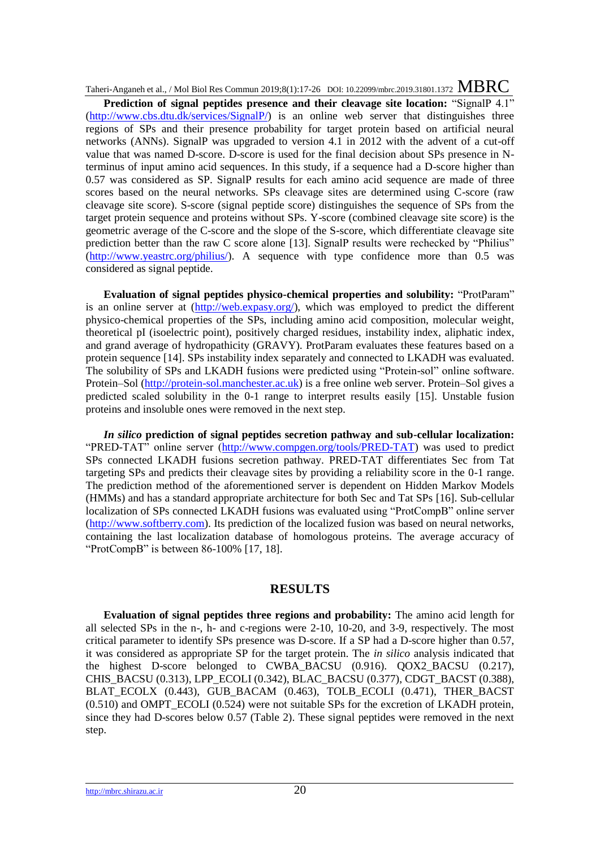Prediction of signal peptides presence and their cleavage site location: "SignalP 4.1" [\(http://www.cbs.dtu.dk/services/SignalP/\)](http://www.cbs.dtu.dk/services/SignalP/) is an online web server that distinguishes three regions of SPs and their presence probability for target protein based on artificial neural networks (ANNs). SignalP was upgraded to version 4.1 in 2012 with the advent of a cut-off value that was named D-score. D-score is used for the final decision about SPs presence in Nterminus of input amino acid sequences. In this study, if a sequence had a D-score higher than 0.57 was considered as SP. SignalP results for each amino acid sequence are made of three scores based on the neural networks. SPs cleavage sites are determined using C-score (raw cleavage site score). S-score (signal peptide score) distinguishes the sequence of SPs from the target protein sequence and proteins without SPs. Y-score (combined cleavage site score) is the geometric average of the C-score and the slope of the S-score, which differentiate cleavage site prediction better than the raw C score alone [13]. SignalP results were rechecked by "Philius" [\(http://www.yeastrc.org/philius/\)](http://www.yeastrc.org/philius/). A sequence with type confidence more than 0.5 was considered as signal peptide.

**Evaluation of signal peptides physico-chemical properties and solubility:** "ProtParam" is an online server at [\(http://web.expasy.org/\)](http://web.expasy.org/), which was employed to predict the different physico-chemical properties of the SPs, including amino acid composition, molecular weight, theoretical pI (isoelectric point), positively charged residues, instability index, aliphatic index, and grand average of hydropathicity (GRAVY). ProtParam evaluates these features based on a protein sequence [14]. SPs instability index separately and connected to LKADH was evaluated. The solubility of SPs and LKADH fusions were predicted using "Protein-sol" online software. Protein–Sol [\(http://protein-sol.manchester.ac.uk\)](http://protein-sol.manchester.ac.uk/) is a free online web server. Protein–Sol gives a predicted scaled solubility in the 0-1 range to interpret results easily [15]. Unstable fusion proteins and insoluble ones were removed in the next step.

*In silico* **prediction of signal peptides secretion pathway and sub-cellular localization:**  "PRED-TAT" online server [\(http://www.compgen.org/tools/PRED-TAT\)](http://www.compgen.org/tools/PRED-TAT) was used to predict SPs connected LKADH fusions secretion pathway. PRED-TAT differentiates Sec from Tat targeting SPs and predicts their cleavage sites by providing a reliability score in the 0-1 range. The prediction method of the aforementioned server is dependent on Hidden Markov Models (HMMs) and has a standard appropriate architecture for both Sec and Tat SPs [16]. Sub-cellular localization of SPs connected LKADH fusions was evaluated using "ProtCompB" online server [\(http://www.softberry.com\)](http://www.softberry.com/). Its prediction of the localized fusion was based on neural networks, containing the last localization database of homologous proteins. The average accuracy of "ProtCompB" is between 86-100% [17, 18].

## **RESULTS**

**Evaluation of signal peptides three regions and probability:** The amino acid length for all selected SPs in the n-, h- and c-regions were 2-10, 10-20, and 3-9, respectively. The most critical parameter to identify SPs presence was D-score. If a SP had a D-score higher than 0.57, it was considered as appropriate SP for the target protein. The *in silico* analysis indicated that the highest D-score belonged to CWBA\_BACSU (0.916). QOX2\_BACSU (0.217), CHIS\_BACSU (0.313), LPP\_ECOLI (0.342), BLAC\_BACSU (0.377), CDGT\_BACST (0.388), BLAT\_ECOLX (0.443), GUB\_BACAM (0.463), TOLB\_ECOLI (0.471), THER\_BACST (0.510) and OMPT\_ECOLI (0.524) were not suitable SPs for the excretion of LKADH protein, since they had D-scores below 0.57 (Table 2). These signal peptides were removed in the next step.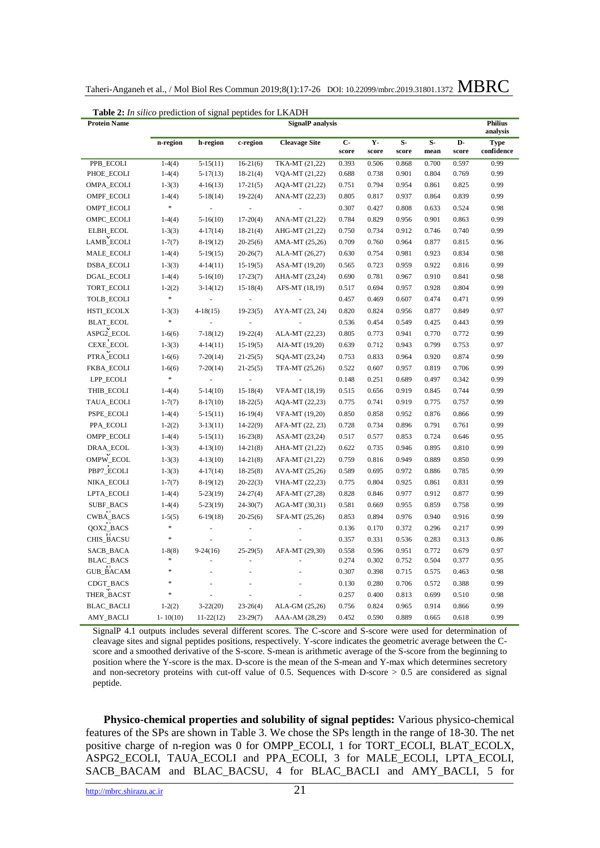| Taheri-Anganeh et al., / Mol Biol Res Commun 2019;8(1):17-26 DOI: 10.22099/mbrc.2019.31801.1372 MBRC |  |  |
|------------------------------------------------------------------------------------------------------|--|--|
|------------------------------------------------------------------------------------------------------|--|--|

| <b>Table 2:</b> In silico prediction of signal peptides for LKADH<br><b>Protein Name</b><br><b>SignalP</b> analysis |              |                                              |                          |                 |                |               |              | <b>Philius</b> |                           |      |
|---------------------------------------------------------------------------------------------------------------------|--------------|----------------------------------------------|--------------------------|-----------------|----------------|---------------|--------------|----------------|---------------------------|------|
|                                                                                                                     |              |                                              |                          |                 |                |               |              | analysis       |                           |      |
|                                                                                                                     | n-region     | <b>Cleavage Site</b><br>h-region<br>c-region |                          | $C -$<br>score  | $Y -$<br>score | $S-$<br>score | $S-$<br>mean | D-<br>score    | <b>Type</b><br>confidence |      |
| PPB ECOLI                                                                                                           | $1-4(4)$     | $5-15(11)$                                   | $16-21(6)$               | TKA-MT (21,22)  | 0.393          | 0.506         | 0.868        | 0.700          | 0.597                     | 0.99 |
| PHOE_ECOLI                                                                                                          | $1-4(4)$     | $5-17(13)$                                   | $18-21(4)$               | VQA-MT (21,22)  | 0.688          | 0.738         | 0.901        | 0.804          | 0.769                     | 0.99 |
| OMPA_ECOLI                                                                                                          | $1-3(3)$     | $4-16(13)$                                   | $17-21(5)$               | AQA-MT (21,22)  | 0.751          | 0.794         | 0.954        | 0.861          | 0.825                     | 0.99 |
| OMPF_ECOLI                                                                                                          | $1-4(4)$     | $5-18(14)$                                   | $19-22(4)$               | ANA-MT (22,23)  | 0.805          | 0.817         | 0.937        | 0.864          | 0.839                     | 0.99 |
| OMPT_ECOLI                                                                                                          | $\ast$       |                                              |                          |                 | 0.307          | 0.427         | 0.808        | 0.633          | 0.524                     | 0.98 |
| OMPC_ECOLI                                                                                                          | $1-4(4)$     | $5-16(10)$                                   | $17-20(4)$               | ANA-MT (21,22)  | 0.784          | 0.829         | 0.956        | 0.901          | 0.863                     | 0.99 |
| ELBH_ECOL                                                                                                           | $1-3(3)$     | $4-17(14)$                                   | $18-21(4)$               | AHG-MT (21,22)  | 0.750          | 0.734         | 0.912        | 0.746          | 0.740                     | 0.99 |
| LAMB_ECOLI                                                                                                          | $1-7(7)$     | $8-19(12)$                                   | $20-25(6)$               | AMA-MT (25,26)  | 0.709          | 0.760         | 0.964        | 0.877          | 0.815                     | 0.96 |
| MALE_ECOLI                                                                                                          | $1-4(4)$     | $5-19(15)$                                   | $20-26(7)$               | ALA-MT (26,27)  | 0.630          | 0.754         | 0.981        | 0.923          | 0.834                     | 0.98 |
| DSBA_ECOLI                                                                                                          | $1-3(3)$     | $4-14(11)$                                   | $15-19(5)$               | ASA-MT (19,20)  | 0.565          | 0.723         | 0.959        | 0.922          | 0.816                     | 0.99 |
| DGAL_ECOLI                                                                                                          | $1-4(4)$     | $5-16(10)$                                   | $17-23(7)$               | AHA-MT (23,24)  | 0.690          | 0.781         | 0.967        | 0.910          | 0.841                     | 0.98 |
| TORT_ECOLI                                                                                                          | $1-2(2)$     | $3-14(12)$                                   | $15-18(4)$               | AFS-MT (18,19)  | 0.517          | 0.694         | 0.957        | 0.928          | 0.804                     | 0.99 |
| TOLB_ECOLI                                                                                                          | ×            |                                              |                          |                 | 0.457          | 0.469         | 0.607        | 0.474          | 0.471                     | 0.99 |
| <b>HSTI_ECOLX</b>                                                                                                   | $1-3(3)$     | $4-18(15)$                                   | $19-23(5)$               | AYA-MT (23, 24) | 0.820          | 0.824         | 0.956        | 0.877          | 0.849                     | 0.97 |
| <b>BLAT_ECOL</b>                                                                                                    | $\ast$       | l,                                           | $\overline{\phantom{a}}$ |                 | 0.536          | 0.454         | 0.549        | 0.425          | 0.443                     | 0.99 |
| ASPG2_ECOL                                                                                                          | $1-6(6)$     | $7-18(12)$                                   | $19-22(4)$               | ALA-MT (22,23)  | 0.805          | 0.773         | 0.941        | 0.770          | 0.772                     | 0.99 |
| CEXE_ECOL                                                                                                           | $1-3(3)$     | $4-14(11)$                                   | $15-19(5)$               | AIA-MT (19,20)  | 0.639          | 0.712         | 0.943        | 0.799          | 0.753                     | 0.97 |
| PTRA_ECOLI                                                                                                          | $1-6(6)$     | $7-20(14)$                                   | $21-25(5)$               | SQA-MT (23,24)  | 0.753          | 0.833         | 0.964        | 0.920          | 0.874                     | 0.99 |
| FKBA_ECOLI                                                                                                          | $1-6(6)$     | $7-20(14)$                                   | $21-25(5)$               | TFA-MT (25,26)  | 0.522          | 0.607         | 0.957        | 0.819          | 0.706                     | 0.99 |
| LPP_ECOLI                                                                                                           | $\ast$       | J.                                           |                          |                 | 0.148          | 0.251         | 0.689        | 0.497          | 0.342                     | 0.99 |
| THIB_ECOLI                                                                                                          | $1-4(4)$     | $5-14(10)$                                   | $15-18(4)$               | VFA-MT (18,19)  | 0.515          | 0.656         | 0.919        | 0.845          | 0.744                     | 0.99 |
| TAUA_ECOLI                                                                                                          | $1-7(7)$     | $8-17(10)$                                   | $18-22(5)$               | AQA-MT (22,23)  | 0.775          | 0.741         | 0.919        | 0.775          | 0.757                     | 0.99 |
| PSPE_ECOLI                                                                                                          | $1-4(4)$     | $5-15(11)$                                   | $16-19(4)$               | VFA-MT (19,20)  | 0.850          | 0.858         | 0.952        | 0.876          | 0.866                     | 0.99 |
| PPA_ECOLI                                                                                                           | $1-2(2)$     | $3-13(11)$                                   | $14 - 22(9)$             | AFA-MT (22, 23) | 0.728          | 0.734         | 0.896        | 0.791          | 0.761                     | 0.99 |
| OMPP_ECOLI                                                                                                          | $1-4(4)$     | $5-15(11)$                                   | $16-23(8)$               | ASA-MT (23,24)  | 0.517          | 0.577         | 0.853        | 0.724          | 0.646                     | 0.95 |
| DRAA_ECOL                                                                                                           | $1-3(3)$     | $4-13(10)$                                   | $14 - 21(8)$             | AHA-MT (21,22)  | 0.622          | 0.735         | 0.946        | 0.895          | 0.810                     | 0.99 |
| OMPW_ECOL                                                                                                           | $1-3(3)$     | $4-13(10)$                                   | $14 - 21(8)$             | AFA-MT (21,22)  | 0.759          | 0.816         | 0.949        | 0.889          | 0.850                     | 0.99 |
| PBP7_ECOLI                                                                                                          | $1-3(3)$     | $4-17(14)$                                   | $18-25(8)$               | AVA-MT (25,26)  | 0.589          | 0.695         | 0.972        | 0.886          | 0.785                     | 0.99 |
| NIKA_ECOLI                                                                                                          | $1-7(7)$     | $8-19(12)$                                   | $20 - 22(3)$             | VHA-MT (22,23)  | 0.775          | 0.804         | 0.925        | 0.861          | 0.831                     | 0.99 |
| LPTA_ECOLI                                                                                                          | $1-4(4)$     | $5-23(19)$                                   | $24 - 27(4)$             | AFA-MT (27,28)  | 0.828          | 0.846         | 0.977        | 0.912          | 0.877                     | 0.99 |
| SUBF_BACS                                                                                                           | $1-4(4)$     | $5-23(19)$                                   | $24 - 30(7)$             | AGA-MT (30,31)  | 0.581          | 0.669         | 0.955        | 0.859          | 0.758                     | 0.99 |
| CWBA_BACS                                                                                                           | $1-5(5)$     | $6-19(18)$                                   | $20-25(6)$               | SFA-MT (25,26)  | 0.853          | 0.894         | 0.976        | 0.940          | 0.916                     | 0.99 |
| QOX2_BACS                                                                                                           | $\ast$       | ÷                                            |                          | Ĭ.              | 0.136          | 0.170         | 0.372        | 0.296          | 0.217                     | 0.99 |
| CHIS_BACSU                                                                                                          | ×            | ÷,                                           | L.                       |                 | 0.357          | 0.331         | 0.536        | 0.283          | 0.313                     | 0.86 |
| SACB_BACA                                                                                                           | $1 - 8(8)$   | $9 - 24(16)$                                 | $25-29(5)$               | AFA-MT (29,30)  | 0.558          | 0.596         | 0.951        | 0.772          | 0.679                     | 0.97 |
| <b>BLAC_BACS</b>                                                                                                    | ×            | L,                                           |                          |                 | 0.274          | 0.302         | 0.752        | 0.504          | 0.377                     | 0.95 |
| <b>GUB_BACAM</b>                                                                                                    | ×            | L,                                           | $\overline{a}$           | $\overline{a}$  | 0.307          | 0.398         | 0.715        | 0.575          | 0.463                     | 0.98 |
| CDGT_BACS                                                                                                           | ×            | Ĩ.                                           |                          |                 | 0.130          | 0.280         | 0.706        | 0.572          | 0.388                     | 0.99 |
| THER BACST                                                                                                          | ×            | ł,                                           |                          |                 | 0.257          | 0.400         | 0.813        | 0.699          | 0.510                     | 0.98 |
| <b>BLAC_BACLI</b>                                                                                                   | $1-2(2)$     | $3 - 22(20)$                                 | $23-26(4)$               | ALA-GM (25,26)  | 0.756          | 0.824         | 0.965        | 0.914          | 0.866                     | 0.99 |
| <b>AMY_BACLI</b>                                                                                                    | $1 - 10(10)$ | $11-22(12)$                                  | $23 - 29(7)$             | AAA-AM (28,29)  | 0.452          | 0.590         | 0.889        | 0.665          | 0.618                     | 0.99 |

**Table 2:** *In silico* prediction of signal peptides for LKADH

SignalP 4.1 outputs includes several different scores. The C-score and S-score were used for determination of cleavage sites and signal peptides positions, respectively. Y-score indicates the geometric average between the Cscore and a smoothed derivative of the S-score. S-mean is arithmetic average of the S-score from the beginning to position where the Y-score is the max. D-score is the mean of the S-mean and Y-max which determines secretory and non-secretory proteins with cut-off value of 0.5. Sequences with D-score > 0.5 are considered as signal peptide.

**Physico-chemical properties and solubility of signal peptides:** Various physico-chemical features of the SPs are shown in Table 3. We chose the SPs length in the range of 18-30. The net positive charge of n-region was 0 for OMPP\_ECOLI, 1 for TORT\_ECOLI, BLAT\_ECOLX, ASPG2\_ECOLI, TAUA\_ECOLI and PPA\_ECOLI, 3 for MALE\_ECOLI, LPTA\_ECOLI, SACB\_BACAM and BLAC\_BACSU, 4 for BLAC\_BACLI and AMY\_BACLI, 5 for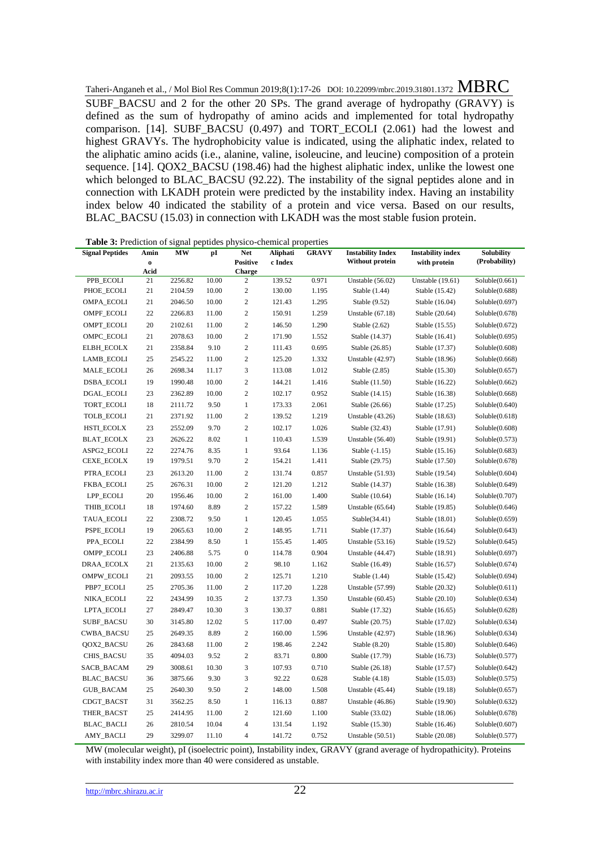Taheri-Anganeh et al., / Mol Biol Res Commun 2019;8(1):17-26 DOI: 10.22099/mbrc.2019.31801.1372 MBRC SUBF\_BACSU and 2 for the other 20 SPs. The grand average of hydropathy (GRAVY) is defined as the sum of hydropathy of amino acids and implemented for total hydropathy comparison. [14]. SUBF\_BACSU  $(0.497)$  and TORT\_ECOLI  $(2.061)$  had the lowest and highest GRAVYs. The hydrophobicity value is indicated, using the aliphatic index, related to the aliphatic amino acids (i.e., alanine, valine, isoleucine, and leucine) composition of a protein sequence. [14]. QOX2\_BACSU (198.46) had the highest aliphatic index, unlike the lowest one which belonged to BLAC\_BACSU (92.22). The instability of the signal peptides alone and in connection with LKADH protein were predicted by the instability index. Having an instability index below 40 indicated the stability of a protein and vice versa. Based on our results, BLAC BACSU (15.03) in connection with LKADH was the most stable fusion protein.

| <b>Table 5:</b> Legicion of signal<br>pepudes physico-chemical properties |                     |         |       |                        |                     |              |                                                    |                                          |                             |
|---------------------------------------------------------------------------|---------------------|---------|-------|------------------------|---------------------|--------------|----------------------------------------------------|------------------------------------------|-----------------------------|
| <b>Signal Peptides</b>                                                    | Amin<br>$\mathbf 0$ | МW      | pI    | Net<br><b>Positive</b> | Aliphati<br>c Index | <b>GRAVY</b> | <b>Instability Index</b><br><b>Without protein</b> | <b>Instability index</b><br>with protein | Solubility<br>(Probability) |
|                                                                           | Acid                |         |       | Charge                 |                     |              |                                                    |                                          |                             |
| PPB ECOLI                                                                 | 21                  | 2256.82 | 10.00 | $\overline{c}$         | 139.52              | 0.971        | Unstable $(56.02)$                                 | <b>Unstable</b> (19.61)                  | Soluble(0.661)              |
| PHOE_ECOLI                                                                | 21                  | 2104.59 | 10.00 | $\sqrt{2}$             | 130.00              | 1.195        | Stable (1.44)                                      | Stable (15.42)                           | Soluble(0.688)              |
| OMPA_ECOLI                                                                | 21                  | 2046.50 | 10.00 | $\sqrt{2}$             | 121.43              | 1.295        | Stable (9.52)                                      | Stable (16.04)                           | Soluble(0.697)              |
| OMPF_ECOLI                                                                | 22                  | 2266.83 | 11.00 | $\mathfrak{2}$         | 150.91              | 1.259        | Unstable $(67.18)$                                 | Stable (20.64)                           | Soluble(0.678)              |
| OMPT_ECOLI                                                                | 20                  | 2102.61 | 11.00 | $\sqrt{2}$             | 146.50              | 1.290        | Stable $(2.62)$                                    | Stable (15.55)                           | Soluble(0.672)              |
| OMPC_ECOLI                                                                | 21                  | 2078.63 | 10.00 | $\mathbf{2}$           | 171.90              | 1.552        | Stable (14.37)                                     | Stable (16.41)                           | Soluble(0.695)              |
| <b>ELBH_ECOLX</b>                                                         | 21                  | 2358.84 | 9.10  | $\mathbf{2}$           | 111.43              | 0.695        | Stable (26.85)                                     | Stable (17.37)                           | Soluble(0.608)              |
| LAMB_ECOLI                                                                | 25                  | 2545.22 | 11.00 | $\boldsymbol{2}$       | 125.20              | 1.332        | <b>Unstable</b> (42.97)                            | Stable (18.96)                           | Soluble(0.668)              |
| MALE_ECOLI                                                                | 26                  | 2698.34 | 11.17 | 3                      | 113.08              | 1.012        | Stable (2.85)                                      | Stable (15.30)                           | Soluble(0.657)              |
| DSBA_ECOLI                                                                | 19                  | 1990.48 | 10.00 | $\mathbf{2}$           | 144.21              | 1.416        | Stable (11.50)                                     | Stable (16.22)                           | Soluble(0.662)              |
| DGAL_ECOLI                                                                | 23                  | 2362.89 | 10.00 | $\mathfrak{2}$         | 102.17              | 0.952        | Stable (14.15)                                     | Stable (16.38)                           | Soluble(0.668)              |
| TORT_ECOLI                                                                | 18                  | 2111.72 | 9.50  | $\,1$                  | 173.33              | 2.061        | Stable (26.66)                                     | Stable (17.25)                           | Soluble(0.640)              |
| <b>TOLB_ECOLI</b>                                                         | 21                  | 2371.92 | 11.00 | $\sqrt{2}$             | 139.52              | 1.219        | Unstable (43.26)                                   | Stable (18.63)                           | Soluble(0.618)              |
| <b>HSTI_ECOLX</b>                                                         | 23                  | 2552.09 | 9.70  | $\mathbf{2}$           | 102.17              | 1.026        | Stable (32.43)                                     | Stable (17.91)                           | Soluble(0.608)              |
| <b>BLAT_ECOLX</b>                                                         | 23                  | 2626.22 | 8.02  | 1                      | 110.43              | 1.539        | Unstable $(56.40)$                                 | Stable (19.91)                           | Soluble(0.573)              |
| ASPG2_ECOLI                                                               | 22                  | 2274.76 | 8.35  | $\mathbf{1}$           | 93.64               | 1.136        | Stable (-1.15)                                     | Stable (15.16)                           | Soluble(0.683)              |
| CEXE_ECOLX                                                                | 19                  | 1979.51 | 9.70  | $\mathbf{2}$           | 154.21              | 1.411        | Stable (29.75)                                     | Stable (17.50)                           | Soluble(0.678)              |
| PTRA_ECOLI                                                                | 23                  | 2613.20 | 11.00 | $\boldsymbol{2}$       | 131.74              | 0.857        | Unstable $(51.93)$                                 | Stable (19.54)                           | Soluble(0.604)              |
| <b>FKBA_ECOLI</b>                                                         | 25                  | 2676.31 | 10.00 | $\sqrt{2}$             | 121.20              | 1.212        | Stable (14.37)                                     | Stable (16.38)                           | Soluble(0.649)              |
| LPP_ECOLI                                                                 | 20                  | 1956.46 | 10.00 | $\mathbf{2}$           | 161.00              | 1.400        | Stable (10.64)                                     | Stable (16.14)                           | Soluble(0.707)              |
| THIB_ECOLI                                                                | 18                  | 1974.60 | 8.89  | $\mathbf{2}$           | 157.22              | 1.589        | Unstable (65.64)                                   | Stable (19.85)                           | Soluble(0.646)              |
| TAUA_ECOLI                                                                | 22                  | 2308.72 | 9.50  | 1                      | 120.45              | 1.055        | Stable(34.41)                                      | Stable (18.01)                           | Soluble(0.659)              |
| PSPE_ECOLI                                                                | 19                  | 2065.63 | 10.00 | $\mathbf{2}$           | 148.95              | 1.711        | Stable (17.37)                                     | Stable (16.64)                           | Soluble(0.643)              |
| PPA_ECOLI                                                                 | 22                  | 2384.99 | 8.50  | $\mathbf{1}$           | 155.45              | 1.405        | Unstable $(53.16)$                                 | Stable (19.52)                           | Soluble(0.645)              |
| OMPP_ECOLI                                                                | 23                  | 2406.88 | 5.75  | $\boldsymbol{0}$       | 114.78              | 0.904        | Unstable $(44.47)$                                 | Stable (18.91)                           | Soluble(0.697)              |
| DRAA_ECOLX                                                                | 21                  | 2135.63 | 10.00 | $\sqrt{2}$             | 98.10               | 1.162        | Stable (16.49)                                     | Stable (16.57)                           | Soluble(0.674)              |
| OMPW_ECOLI                                                                | 21                  | 2093.55 | 10.00 | $\mathbf{2}$           | 125.71              | 1.210        | Stable (1.44)                                      | Stable (15.42)                           | Soluble(0.694)              |
| PBP7_ECOLI                                                                | 25                  | 2705.36 | 11.00 | $\mathbf{2}$           | 117.20              | 1.228        | <b>Unstable</b> (57.99)                            | Stable (20.32)                           | Soluble(0.611)              |
| NIKA_ECOLI                                                                | $22\,$              | 2434.99 | 10.35 | $\sqrt{2}$             | 137.73              | 1.350        | Unstable $(60.45)$                                 | Stable (20.10)                           | Soluble(0.634)              |
| LPTA_ECOLI                                                                | 27                  | 2849.47 | 10.30 | 3                      | 130.37              | 0.881        | Stable (17.32)                                     | Stable (16.65)                           | Soluble(0.628)              |
| <b>SUBF_BACSU</b>                                                         | 30                  | 3145.80 | 12.02 | 5                      | 117.00              | 0.497        | Stable (20.75)                                     | Stable (17.02)                           | Soluble(0.634)              |
| CWBA_BACSU                                                                | 25                  | 2649.35 | 8.89  | $\overline{c}$         | 160.00              | 1.596        | <b>Unstable</b> (42.97)                            | Stable (18.96)                           | Soluble(0.634)              |
| QOX2_BACSU                                                                | 26                  | 2843.68 | 11.00 | $\sqrt{2}$             | 198.46              | 2.242        | Stable (8.20)                                      | Stable (15.80)                           | Soluble(0.646)              |
| CHIS_BACSU                                                                | 35                  | 4094.03 | 9.52  | $\overline{c}$         | 83.71               | 0.800        | Stable (17.79)                                     | Stable (16.73)                           | Soluble(0.577)              |
| SACB_BACAM                                                                | 29                  | 3008.61 | 10.30 | 3                      | 107.93              | 0.710        | Stable (26.18)                                     | Stable (17.57)                           | Soluble(0.642)              |
| <b>BLAC_BACSU</b>                                                         | 36                  | 3875.66 | 9.30  | 3                      | 92.22               | 0.628        | Stable (4.18)                                      | Stable (15.03)                           | Soluble(0.575)              |
| <b>GUB_BACAM</b>                                                          | 25                  | 2640.30 | 9.50  | $\overline{c}$         | 148.00              | 1.508        | Unstable (45.44)                                   | Stable (19.18)                           | Soluble(0.657)              |
| CDGT_BACST                                                                | 31                  | 3562.25 | 8.50  | $\mathbf{1}$           | 116.13              | 0.887        | Unstable (46.86)                                   | Stable (19.90)                           | Soluble(0.632)              |
| THER_BACST                                                                | 25                  | 2414.95 | 11.00 | $\overline{c}$         | 121.60              | 1.100        | Stable (33.02)                                     | Stable (18.06)                           | Soluble(0.678)              |
| <b>BLAC_BACLI</b>                                                         | 26                  | 2810.54 | 10.04 | $\overline{4}$         | 131.54              | 1.192        | Stable (15.30)                                     | Stable (16.46)                           | Soluble(0.607)              |
| <b>AMY_BACLI</b>                                                          | 29                  | 3299.07 | 11.10 | $\overline{4}$         | 141.72              | 0.752        | Unstable $(50.51)$                                 | Stable (20.08)                           | Soluble(0.577)              |

**Table 3:** Prediction of signal peptides physico-chemical properties

MW (molecular weight), pI (isoelectric point), Instability index, GRAVY (grand average of hydropathicity). Proteins with instability index more than 40 were considered as unstable.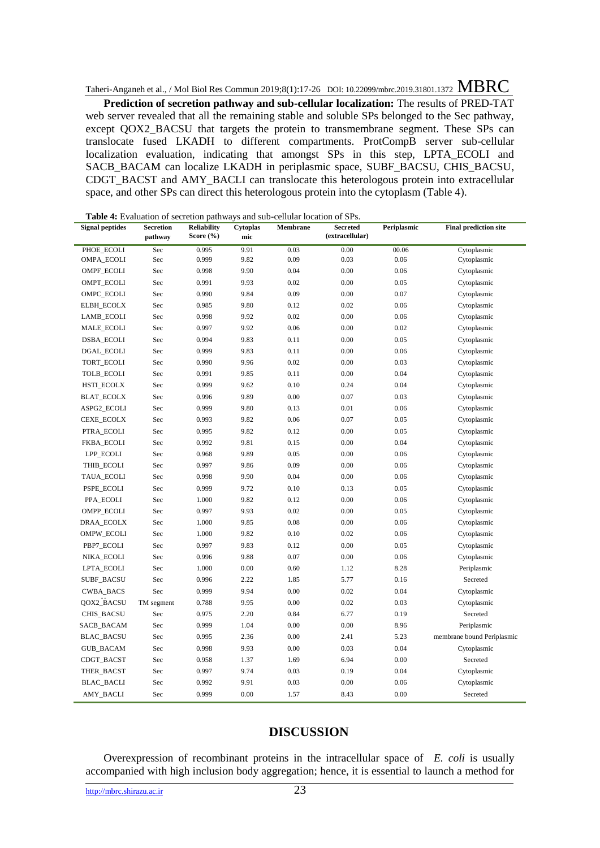**Prediction of secretion pathway and sub-cellular localization:** The results of PRED-TAT web server revealed that all the remaining stable and soluble SPs belonged to the Sec pathway, except QOX2 BACSU that targets the protein to transmembrane segment. These SPs can translocate fused LKADH to different compartments. ProtCompB server sub-cellular localization evaluation, indicating that amongst SPs in this step, LPTA\_ECOLI and SACB\_BACAM can localize LKADH in periplasmic space, SUBF\_BACSU, CHIS\_BACSU, CDGT\_BACST and AMY\_BACLI can translocate this heterologous protein into extracellular space, and other SPs can direct this heterologous protein into the cytoplasm (Table 4).

**Table 4:** Evaluation of secretion pathways and sub-cellular location of SPs.

| <b>Signal peptides</b> | <b>Secretion</b><br>pathway | <b>Reliability</b><br>Score (%) | Cytoplas<br>mic | Membrane | <b>Secreted</b><br>(extracellular) | Periplasmic | <b>Final prediction site</b> |
|------------------------|-----------------------------|---------------------------------|-----------------|----------|------------------------------------|-------------|------------------------------|
| PHOE_ECOLI             | Sec                         | 0.995                           | 9.91            | 0.03     | 0.00                               | 00.06       | Cytoplasmic                  |
| OMPA_ECOLI             | Sec                         | 0.999                           | 9.82            | 0.09     | 0.03                               | 0.06        | Cytoplasmic                  |
| OMPF_ECOLI             | Sec                         | 0.998                           | 9.90            | 0.04     | 0.00                               | 0.06        | Cytoplasmic                  |
| OMPT_ECOLI             | Sec                         | 0.991                           | 9.93            | 0.02     | 0.00                               | 0.05        | Cytoplasmic                  |
| OMPC_ECOLI             | Sec                         | 0.990                           | 9.84            | 0.09     | 0.00                               | 0.07        | Cytoplasmic                  |
| ELBH_ECOLX             | Sec                         | 0.985                           | 9.80            | 0.12     | 0.02                               | 0.06        | Cytoplasmic                  |
| LAMB_ECOLI             | Sec                         | 0.998                           | 9.92            | 0.02     | 0.00                               | 0.06        | Cytoplasmic                  |
| MALE_ECOLI             | Sec                         | 0.997                           | 9.92            | 0.06     | 0.00                               | 0.02        | Cytoplasmic                  |
| <b>DSBA_ECOLI</b>      | Sec                         | 0.994                           | 9.83            | 0.11     | 0.00                               | 0.05        | Cytoplasmic                  |
| DGAL_ECOLI             | Sec                         | 0.999                           | 9.83            | 0.11     | 0.00                               | 0.06        | Cytoplasmic                  |
| TORT_ECOLI             | Sec                         | 0.990                           | 9.96            | 0.02     | 0.00                               | 0.03        | Cytoplasmic                  |
| <b>TOLB_ECOLI</b>      | Sec                         | 0.991                           | 9.85            | 0.11     | 0.00                               | 0.04        | Cytoplasmic                  |
| <b>HSTI_ECOLX</b>      | Sec                         | 0.999                           | 9.62            | 0.10     | 0.24                               | 0.04        | Cytoplasmic                  |
| <b>BLAT_ECOLX</b>      | Sec                         | 0.996                           | 9.89            | $0.00\,$ | 0.07                               | 0.03        | Cytoplasmic                  |
| ASPG2_ECOLI            | Sec                         | 0.999                           | 9.80            | 0.13     | 0.01                               | 0.06        | Cytoplasmic                  |
| CEXE_ECOLX             | Sec                         | 0.993                           | 9.82            | 0.06     | 0.07                               | 0.05        | Cytoplasmic                  |
| PTRA_ECOLI             | Sec                         | 0.995                           | 9.82            | 0.12     | 0.00                               | 0.05        | Cytoplasmic                  |
| <b>FKBA_ECOLI</b>      | Sec                         | 0.992                           | 9.81            | 0.15     | 0.00                               | 0.04        | Cytoplasmic                  |
| LPP_ECOLI              | Sec                         | 0.968                           | 9.89            | 0.05     | 0.00                               | 0.06        | Cytoplasmic                  |
| THIB_ECOLI             | Sec                         | 0.997                           | 9.86            | 0.09     | 0.00                               | 0.06        | Cytoplasmic                  |
| TAUA_ECOLI             | Sec                         | 0.998                           | 9.90            | 0.04     | 0.00                               | 0.06        | Cytoplasmic                  |
| PSPE_ECOLI             | Sec                         | 0.999                           | 9.72            | 0.10     | 0.13                               | 0.05        | Cytoplasmic                  |
| PPA_ECOLI              | Sec                         | 1.000                           | 9.82            | 0.12     | 0.00                               | 0.06        | Cytoplasmic                  |
| OMPP_ECOLI             | Sec                         | 0.997                           | 9.93            | 0.02     | 0.00                               | 0.05        | Cytoplasmic                  |
| DRAA_ECOLX             | Sec                         | 1.000                           | 9.85            | $0.08\,$ | 0.00                               | 0.06        | Cytoplasmic                  |
| OMPW_ECOLI             | Sec                         | 1.000                           | 9.82            | 0.10     | 0.02                               | 0.06        | Cytoplasmic                  |
| PBP7_ECOLI             | Sec                         | 0.997                           | 9.83            | 0.12     | 0.00                               | 0.05        | Cytoplasmic                  |
| NIKA_ECOLI             | Sec                         | 0.996                           | 9.88            | 0.07     | 0.00                               | 0.06        | Cytoplasmic                  |
| LPTA_ECOLI             | Sec                         | 1.000                           | 0.00            | 0.60     | 1.12                               | 8.28        | Periplasmic                  |
| <b>SUBF_BACSU</b>      | Sec                         | 0.996                           | 2.22            | 1.85     | 5.77                               | 0.16        | Secreted                     |
| <b>CWBA_BACS</b>       | Sec                         | 0.999                           | 9.94            | 0.00     | 0.02                               | 0.04        | Cytoplasmic                  |
| QOX2_BACSU             | TM segment                  | 0.788                           | 9.95            | $0.00\,$ | 0.02                               | 0.03        | Cytoplasmic                  |
| CHIS_BACSU             | Sec                         | 0.975                           | 2.20            | 0.84     | 6.77                               | 0.19        | Secreted                     |
| SACB_BACAM             | Sec                         | 0.999                           | 1.04            | 0.00     | $0.00\,$                           | 8.96        | Periplasmic                  |
| <b>BLAC_BACSU</b>      | Sec                         | 0.995                           | 2.36            | 0.00     | 2.41                               | 5.23        | membrane bound Periplasmic   |
| <b>GUB_BACAM</b>       | Sec                         | 0.998                           | 9.93            | 0.00     | 0.03                               | 0.04        | Cytoplasmic                  |
| CDGT_BACST             | Sec                         | 0.958                           | 1.37            | 1.69     | 6.94                               | 0.00        | Secreted                     |
| THER_BACST             | Sec                         | 0.997                           | 9.74            | 0.03     | 0.19                               | 0.04        | Cytoplasmic                  |
| <b>BLAC_BACLI</b>      | Sec                         | 0.992                           | 9.91            | 0.03     | 0.00                               | 0.06        | Cytoplasmic                  |
| AMY_BACLI              | Sec                         | 0.999                           | 0.00            | 1.57     | 8.43                               | 0.00        | Secreted                     |

## **DISCUSSION**

Overexpression of recombinant proteins in the intracellular space of *E. coli* is usually accompanied with high inclusion body aggregation; hence, it is essential to launch a method for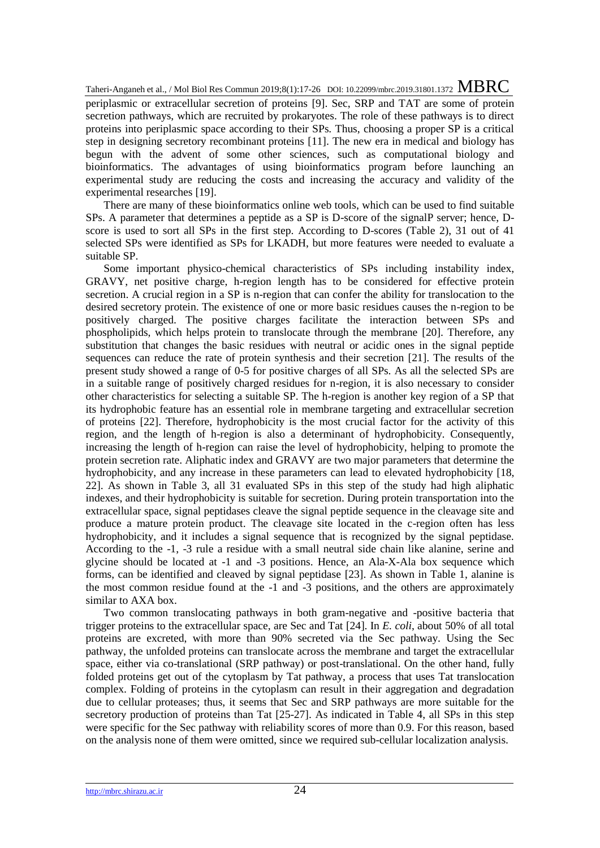periplasmic or extracellular secretion of proteins [9]. Sec, SRP and TAT are some of protein secretion pathways, which are recruited by prokaryotes. The role of these pathways is to direct proteins into periplasmic space according to their SPs. Thus, choosing a proper SP is a critical step in designing secretory recombinant proteins [11]. The new era in medical and biology has begun with the advent of some other sciences, such as computational biology and bioinformatics. The advantages of using bioinformatics program before launching an experimental study are reducing the costs and increasing the accuracy and validity of the experimental researches [19].

There are many of these bioinformatics online web tools, which can be used to find suitable SPs. A parameter that determines a peptide as a SP is D-score of the signalP server; hence, Dscore is used to sort all SPs in the first step. According to D-scores (Table 2), 31 out of 41 selected SPs were identified as SPs for LKADH, but more features were needed to evaluate a suitable SP.

Some important physico-chemical characteristics of SPs including instability index, GRAVY, net positive charge, h-region length has to be considered for effective protein secretion. A crucial region in a SP is n-region that can confer the ability for translocation to the desired secretory protein. The existence of one or more basic residues causes the n-region to be positively charged. The positive charges facilitate the interaction between SPs and phospholipids, which helps protein to translocate through the membrane [20]. Therefore, any substitution that changes the basic residues with neutral or acidic ones in the signal peptide sequences can reduce the rate of protein synthesis and their secretion [21]. The results of the present study showed a range of 0-5 for positive charges of all SPs. As all the selected SPs are in a suitable range of positively charged residues for n-region, it is also necessary to consider other characteristics for selecting a suitable SP. The h-region is another key region of a SP that its hydrophobic feature has an essential role in membrane targeting and extracellular secretion of proteins [22]. Therefore, hydrophobicity is the most crucial factor for the activity of this region, and the length of h-region is also a determinant of hydrophobicity. Consequently, increasing the length of h-region can raise the level of hydrophobicity, helping to promote the protein secretion rate. Aliphatic index and GRAVY are two major parameters that determine the hydrophobicity, and any increase in these parameters can lead to elevated hydrophobicity [18, 22]. As shown in Table 3, all 31 evaluated SPs in this step of the study had high aliphatic indexes, and their hydrophobicity is suitable for secretion. During protein transportation into the extracellular space, signal peptidases cleave the signal peptide sequence in the cleavage site and produce a mature protein product. The cleavage site located in the c-region often has less hydrophobicity, and it includes a signal sequence that is recognized by the signal peptidase. According to the -1, -3 rule a residue with a small neutral side chain like alanine, serine and glycine should be located at -1 and -3 positions. Hence, an Ala-X-Ala box sequence which forms, can be identified and cleaved by signal peptidase [23]. As shown in Table 1, alanine is the most common residue found at the -1 and -3 positions, and the others are approximately similar to AXA box.

Two common translocating pathways in both gram-negative and -positive bacteria that trigger proteins to the extracellular space, are Sec and Tat [24]. In *E. coli*, about 50% of all total proteins are excreted, with more than 90% secreted via the Sec pathway. Using the Sec pathway, the unfolded proteins can translocate across the membrane and target the extracellular space, either via co-translational (SRP pathway) or post-translational. On the other hand, fully folded proteins get out of the cytoplasm by Tat pathway, a process that uses Tat translocation complex. Folding of proteins in the cytoplasm can result in their aggregation and degradation due to cellular proteases; thus, it seems that Sec and SRP pathways are more suitable for the secretory production of proteins than Tat [25-27]. As indicated in Table 4, all SPs in this step were specific for the Sec pathway with reliability scores of more than 0.9. For this reason, based on the analysis none of them were omitted, since we required sub-cellular localization analysis.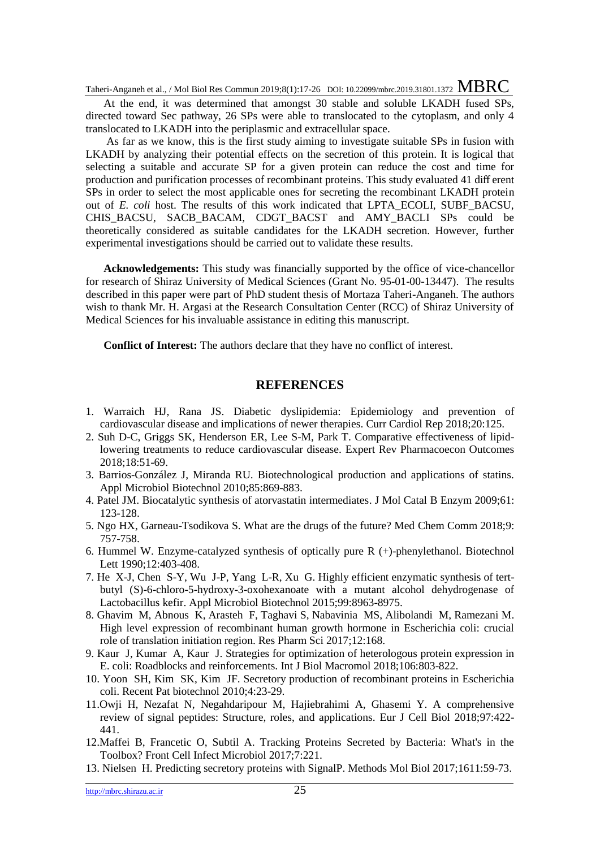# $\frac{\text{Taheri-Anganeh et al., } }{\text{MBRC}}$  Commun 2019;8(1):17-26 DOI: 10.22099/mbrc.2019.31801.1372 MBRC

At the end, it was determined that amongst 30 stable and soluble LKADH fused SPs, directed toward Sec pathway, 26 SPs were able to translocated to the cytoplasm, and only 4 translocated to LKADH into the periplasmic and extracellular space.

As far as we know, this is the first study aiming to investigate suitable SPs in fusion with LKADH by analyzing their potential effects on the secretion of this protein. It is logical that selecting a suitable and accurate SP for a given protein can reduce the cost and time for production and purification processes of recombinant proteins. This study evaluated 41 diff erent SPs in order to select the most applicable ones for secreting the recombinant LKADH protein out of *E. coli* host. The results of this work indicated that LPTA ECOLI, SUBF BACSU, CHIS BACSU, SACB BACAM, CDGT BACST and AMY BACLI SPs could be theoretically considered as suitable candidates for the LKADH secretion. However, further experimental investigations should be carried out to validate these results.

**Acknowledgements:** This study was financially supported by the office of vice-chancellor for research of Shiraz University of Medical Sciences (Grant No. [95-01-00-13447\)](http://pajooheshyar.sums.ac.ir/user/view_tarh_form.phtml?admin=zmostafavipour88@yahoo.co.uk&seed=vfaQ2buQQISxo2xSknm7Cx0wCpacGEemoBxFBYFWzFxRPAB9&cod_tarh=95-01-00-13447). The results described in this paper were part of PhD student thesis of Mortaza Taheri-Anganeh. The authors wish to thank Mr. H. Argasi at the Research Consultation Center (RCC) of Shiraz University of Medical Sciences for his invaluable assistance in editing this manuscript.

**Conflict of Interest:** The authors declare that they have no conflict of interest.

#### **REFERENCES**

- 1. Warraich HJ, Rana JS. Diabetic dyslipidemia: Epidemiology and prevention of cardiovascular disease and implications of newer therapies. Curr Cardiol Rep 2018;20:125.
- 2. Suh D-C, Griggs SK, Henderson ER, Lee S-M, Park T. Comparative effectiveness of lipidlowering treatments to reduce cardiovascular disease. Expert Rev Pharmacoecon Outcomes 2018;18:51-69.
- 3. Barrios-González J, Miranda RU. Biotechnological production and applications of statins. Appl Microbiol Biotechnol 2010;85:869-883.
- 4. Patel JM. Biocatalytic synthesis of atorvastatin intermediates. J Mol Catal B Enzym 2009;61: 123-128.
- 5. Ngo HX, Garneau-Tsodikova S. What are the drugs of the future? Med Chem Comm 2018;9: 757-758.
- 6. Hummel W. Enzyme-catalyzed synthesis of optically pure R (+)-phenylethanol. Biotechnol Lett 1990;12:403-408.
- 7. He X-J, Chen S-Y, Wu J-P, Yang L-R, Xu G. Highly efficient enzymatic synthesis of tertbutyl (S)-6-chloro-5-hydroxy-3-oxohexanoate with a mutant alcohol dehydrogenase of Lactobacillus kefir. Appl Microbiol Biotechnol 2015;99:8963-8975.
- 8. Ghavim M, Abnous K, Arasteh F, Taghavi S, Nabavinia MS, Alibolandi M, Ramezani M. High level expression of recombinant human growth hormone in Escherichia coli: crucial role of translation initiation region. Res Pharm Sci 2017;12:168.
- 9. Kaur J, Kumar A, Kaur J. Strategies for optimization of heterologous protein expression in E. coli: Roadblocks and reinforcements. Int J Biol Macromol 2018;106:803-822.
- 10. Yoon SH, Kim SK, Kim JF. Secretory production of recombinant proteins in Escherichia coli. Recent Pat biotechnol 2010;4:23-29.
- 11.Owji H, Nezafat N, Negahdaripour M, Hajiebrahimi A, Ghasemi Y. A comprehensive review of signal peptides: Structure, roles, and applications. Eur J Cell Biol 2018;97:422- 441.
- 12.Maffei B, Francetic O, Subtil A. Tracking Proteins Secreted by Bacteria: What's in the Toolbox? Front Cell Infect Microbiol 2017;7:221.
- 13. Nielsen H. Predicting secretory proteins with SignalP. Methods Mol Biol 2017;1611:59-73.